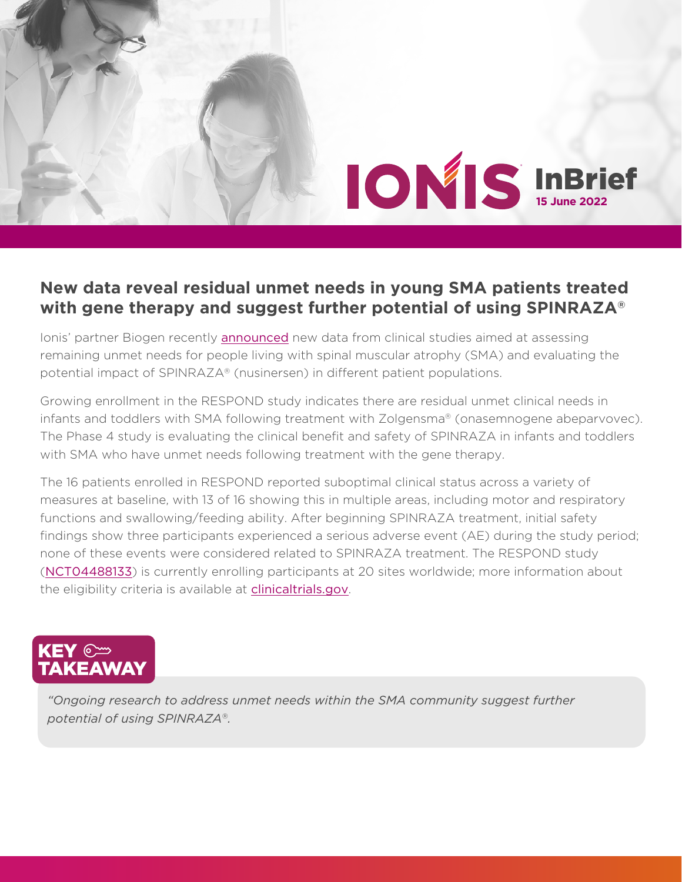## InBrief **15 June 2022** ®

## **New data reveal residual unmet needs in young SMA patients treated with gene therapy and suggest further potential of using SPINRAZA®**

Ionis' partner Biogen recently [announced](https://investors.biogen.com/news-releases/news-release-details/new-data-presented-cure-sma-reveal-residual-unmet-needs-young) new data from clinical studies aimed at assessing remaining unmet needs for people living with spinal muscular atrophy (SMA) and evaluating the potential impact of SPINRAZA® (nusinersen) in different patient populations.

Growing enrollment in the RESPOND study indicates there are residual unmet clinical needs in infants and toddlers with SMA following treatment with Zolgensma® (onasemnogene abeparvovec). The Phase 4 study is evaluating the clinical benefit and safety of SPINRAZA in infants and toddlers with SMA who have unmet needs following treatment with the gene therapy.

The 16 patients enrolled in RESPOND reported suboptimal clinical status across a variety of measures at baseline, with 13 of 16 showing this in multiple areas, including motor and respiratory functions and swallowing/feeding ability. After beginning SPINRAZA treatment, initial safety findings show three participants experienced a serious adverse event (AE) during the study period; none of these events were considered related to SPINRAZA treatment. The RESPOND study ([NCT04488133](https://clinicaltrials.gov/ct2/show/NCT04488133?term=NCT04488133&cond=spinal+muscular+atrophy&draw=2&rank=1)) is currently enrolling participants at 20 sites worldwide; more information about the eligibility criteria is available at [clinicaltrials.gov](https://clinicaltrials.gov/).



*"Ongoing research to address unmet needs within the SMA community suggest further potential of using SPINRAZA®.*